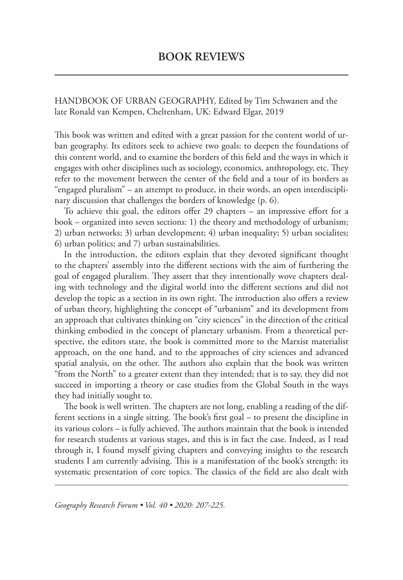HANDBOOK OF URBAN GEOGRAPHY, Edited by Tim Schwanen and the late Ronald van Kempen, Cheltenham, UK: Edward Elgar, 2019

This book was written and edited with a great passion for the content world of urban geography. Its editors seek to achieve two goals: to deepen the foundations of this content world, and to examine the borders of this field and the ways in which it engages with other disciplines such as sociology, economics, anthropology, etc. They refer to the movement between the center of the field and a tour of its borders as "engaged pluralism" – an attempt to produce, in their words, an open interdisciplinary discussion that challenges the borders of knowledge (p. 6).

To achieve this goal, the editors offer 29 chapters – an impressive effort for a book – organized into seven sections: 1) the theory and methodology of urbanism; 2) urban networks; 3) urban development; 4) urban inequality; 5) urban socialites; 6) urban politics; and 7) urban sustainabilities.

In the introduction, the editors explain that they devoted significant thought to the chapters' assembly into the different sections with the aim of furthering the goal of engaged pluralism. They assert that they intentionally wove chapters dealing with technology and the digital world into the different sections and did not develop the topic as a section in its own right. The introduction also offers a review of urban theory, highlighting the concept of "urbanism" and its development from an approach that cultivates thinking on "city sciences" in the direction of the critical thinking embodied in the concept of planetary urbanism. From a theoretical perspective, the editors state, the book is committed more to the Marxist materialist approach, on the one hand, and to the approaches of city sciences and advanced spatial analysis, on the other. The authors also explain that the book was written "from the North" to a greater extent than they intended; that is to say, they did not succeed in importing a theory or case studies from the Global South in the ways they had initially sought to.

The book is well written. The chapters are not long, enabling a reading of the different sections in a single sitting. The book's first goal – to present the discipline in its various colors – is fully achieved. The authors maintain that the book is intended for research students at various stages, and this is in fact the case. Indeed, as I read through it, I found myself giving chapters and conveying insights to the research students I am currently advising. This is a manifestation of the book's strength: its systematic presentation of core topics. The classics of the field are also dealt with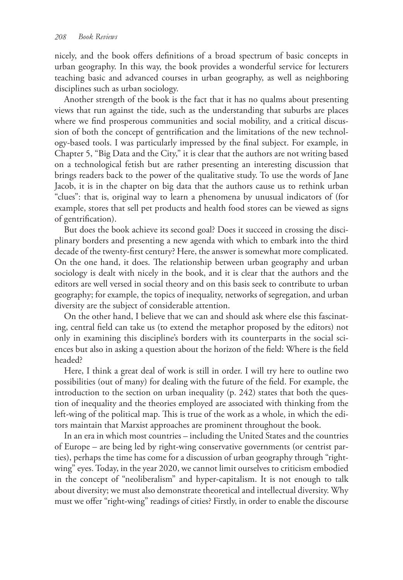nicely, and the book offers definitions of a broad spectrum of basic concepts in urban geography. In this way, the book provides a wonderful service for lecturers teaching basic and advanced courses in urban geography, as well as neighboring disciplines such as urban sociology.

Another strength of the book is the fact that it has no qualms about presenting views that run against the tide, such as the understanding that suburbs are places where we find prosperous communities and social mobility, and a critical discussion of both the concept of gentrification and the limitations of the new technology-based tools. I was particularly impressed by the final subject. For example, in Chapter 5, "Big Data and the City," it is clear that the authors are not writing based on a technological fetish but are rather presenting an interesting discussion that brings readers back to the power of the qualitative study. To use the words of Jane Jacob, it is in the chapter on big data that the authors cause us to rethink urban "clues": that is, original way to learn a phenomena by unusual indicators of (for example, stores that sell pet products and health food stores can be viewed as signs of gentrification).

But does the book achieve its second goal? Does it succeed in crossing the disciplinary borders and presenting a new agenda with which to embark into the third decade of the twenty-first century? Here, the answer is somewhat more complicated. On the one hand, it does. The relationship between urban geography and urban sociology is dealt with nicely in the book, and it is clear that the authors and the editors are well versed in social theory and on this basis seek to contribute to urban geography; for example, the topics of inequality, networks of segregation, and urban diversity are the subject of considerable attention.

On the other hand, I believe that we can and should ask where else this fascinating, central field can take us (to extend the metaphor proposed by the editors) not only in examining this discipline's borders with its counterparts in the social sciences but also in asking a question about the horizon of the field: Where is the field headed?

Here, I think a great deal of work is still in order. I will try here to outline two possibilities (out of many) for dealing with the future of the field. For example, the introduction to the section on urban inequality (p. 242) states that both the question of inequality and the theories employed are associated with thinking from the left-wing of the political map. This is true of the work as a whole, in which the editors maintain that Marxist approaches are prominent throughout the book.

In an era in which most countries – including the United States and the countries of Europe – are being led by right-wing conservative governments (or centrist parties), perhaps the time has come for a discussion of urban geography through "rightwing" eyes. Today, in the year 2020, we cannot limit ourselves to criticism embodied in the concept of "neoliberalism" and hyper-capitalism. It is not enough to talk about diversity; we must also demonstrate theoretical and intellectual diversity. Why must we offer "right-wing" readings of cities? Firstly, in order to enable the discourse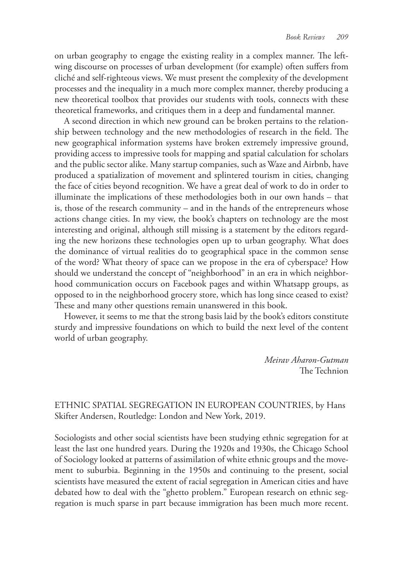on urban geography to engage the existing reality in a complex manner. The leftwing discourse on processes of urban development (for example) often suffers from cliché and self-righteous views. We must present the complexity of the development processes and the inequality in a much more complex manner, thereby producing a new theoretical toolbox that provides our students with tools, connects with these theoretical frameworks, and critiques them in a deep and fundamental manner.

A second direction in which new ground can be broken pertains to the relationship between technology and the new methodologies of research in the field. The new geographical information systems have broken extremely impressive ground, providing access to impressive tools for mapping and spatial calculation for scholars and the public sector alike. Many startup companies, such as Waze and Airbnb, have produced a spatialization of movement and splintered tourism in cities, changing the face of cities beyond recognition. We have a great deal of work to do in order to illuminate the implications of these methodologies both in our own hands – that is, those of the research community – and in the hands of the entrepreneurs whose actions change cities. In my view, the book's chapters on technology are the most interesting and original, although still missing is a statement by the editors regarding the new horizons these technologies open up to urban geography. What does the dominance of virtual realities do to geographical space in the common sense of the word? What theory of space can we propose in the era of cyberspace? How should we understand the concept of "neighborhood" in an era in which neighborhood communication occurs on Facebook pages and within Whatsapp groups, as opposed to in the neighborhood grocery store, which has long since ceased to exist? These and many other questions remain unanswered in this book.

However, it seems to me that the strong basis laid by the book's editors constitute sturdy and impressive foundations on which to build the next level of the content world of urban geography.

> *Meirav Aharon-Gutman* The Technion

### ETHNIC SPATIAL SEGREGATION IN EUROPEAN COUNTRIES, by Hans Skifter Andersen, Routledge: London and New York, 2019.

Sociologists and other social scientists have been studying ethnic segregation for at least the last one hundred years. During the 1920s and 1930s, the Chicago School of Sociology looked at patterns of assimilation of white ethnic groups and the movement to suburbia. Beginning in the 1950s and continuing to the present, social scientists have measured the extent of racial segregation in American cities and have debated how to deal with the "ghetto problem." European research on ethnic segregation is much sparse in part because immigration has been much more recent.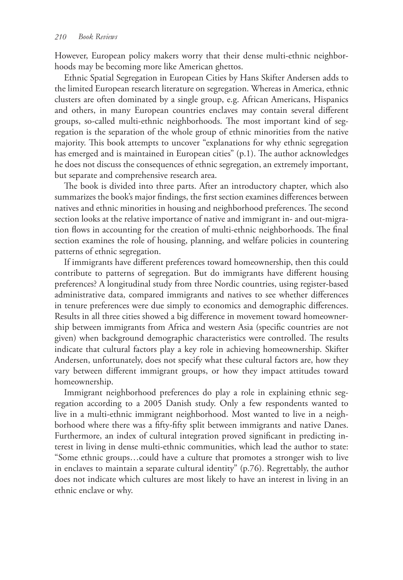However, European policy makers worry that their dense multi-ethnic neighborhoods may be becoming more like American ghettos.

Ethnic Spatial Segregation in European Cities by Hans Skifter Andersen adds to the limited European research literature on segregation. Whereas in America, ethnic clusters are often dominated by a single group, e.g. African Americans, Hispanics and others, in many European countries enclaves may contain several different groups, so-called multi-ethnic neighborhoods. The most important kind of segregation is the separation of the whole group of ethnic minorities from the native majority. This book attempts to uncover "explanations for why ethnic segregation has emerged and is maintained in European cities" (p.1). The author acknowledges he does not discuss the consequences of ethnic segregation, an extremely important, but separate and comprehensive research area.

The book is divided into three parts. After an introductory chapter, which also summarizes the book's major findings, the first section examines differences between natives and ethnic minorities in housing and neighborhood preferences. The second section looks at the relative importance of native and immigrant in- and out-migration flows in accounting for the creation of multi-ethnic neighborhoods. The final section examines the role of housing, planning, and welfare policies in countering patterns of ethnic segregation.

If immigrants have different preferences toward homeownership, then this could contribute to patterns of segregation. But do immigrants have different housing preferences? A longitudinal study from three Nordic countries, using register-based administrative data, compared immigrants and natives to see whether differences in tenure preferences were due simply to economics and demographic differences. Results in all three cities showed a big difference in movement toward homeownership between immigrants from Africa and western Asia (specific countries are not given) when background demographic characteristics were controlled. The results indicate that cultural factors play a key role in achieving homeownership. Skifter Andersen, unfortunately, does not specify what these cultural factors are, how they vary between different immigrant groups, or how they impact attitudes toward homeownership.

Immigrant neighborhood preferences do play a role in explaining ethnic segregation according to a 2005 Danish study. Only a few respondents wanted to live in a multi-ethnic immigrant neighborhood. Most wanted to live in a neighborhood where there was a fifty-fifty split between immigrants and native Danes. Furthermore, an index of cultural integration proved significant in predicting interest in living in dense multi-ethnic communities, which lead the author to state: "Some ethnic groups…could have a culture that promotes a stronger wish to live in enclaves to maintain a separate cultural identity" (p.76). Regrettably, the author does not indicate which cultures are most likely to have an interest in living in an ethnic enclave or why.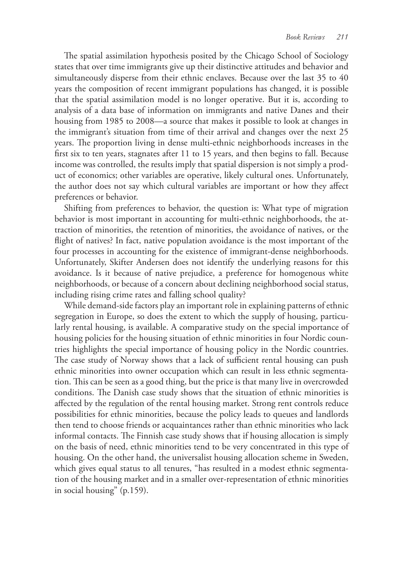The spatial assimilation hypothesis posited by the Chicago School of Sociology states that over time immigrants give up their distinctive attitudes and behavior and simultaneously disperse from their ethnic enclaves. Because over the last 35 to 40 years the composition of recent immigrant populations has changed, it is possible that the spatial assimilation model is no longer operative. But it is, according to analysis of a data base of information on immigrants and native Danes and their housing from 1985 to 2008—a source that makes it possible to look at changes in the immigrant's situation from time of their arrival and changes over the next 25 years. The proportion living in dense multi-ethnic neighborhoods increases in the first six to ten years, stagnates after 11 to 15 years, and then begins to fall. Because income was controlled, the results imply that spatial dispersion is not simply a product of economics; other variables are operative, likely cultural ones. Unfortunately, the author does not say which cultural variables are important or how they affect preferences or behavior.

Shifting from preferences to behavior, the question is: What type of migration behavior is most important in accounting for multi-ethnic neighborhoods, the attraction of minorities, the retention of minorities, the avoidance of natives, or the flight of natives? In fact, native population avoidance is the most important of the four processes in accounting for the existence of immigrant-dense neighborhoods. Unfortunately, Skifter Andersen does not identify the underlying reasons for this avoidance. Is it because of native prejudice, a preference for homogenous white neighborhoods, or because of a concern about declining neighborhood social status, including rising crime rates and falling school quality?

While demand-side factors play an important role in explaining patterns of ethnic segregation in Europe, so does the extent to which the supply of housing, particularly rental housing, is available. A comparative study on the special importance of housing policies for the housing situation of ethnic minorities in four Nordic countries highlights the special importance of housing policy in the Nordic countries. The case study of Norway shows that a lack of sufficient rental housing can push ethnic minorities into owner occupation which can result in less ethnic segmentation. This can be seen as a good thing, but the price is that many live in overcrowded conditions. The Danish case study shows that the situation of ethnic minorities is affected by the regulation of the rental housing market. Strong rent controls reduce possibilities for ethnic minorities, because the policy leads to queues and landlords then tend to choose friends or acquaintances rather than ethnic minorities who lack informal contacts. The Finnish case study shows that if housing allocation is simply on the basis of need, ethnic minorities tend to be very concentrated in this type of housing. On the other hand, the universalist housing allocation scheme in Sweden, which gives equal status to all tenures, "has resulted in a modest ethnic segmentation of the housing market and in a smaller over-representation of ethnic minorities in social housing" (p.159).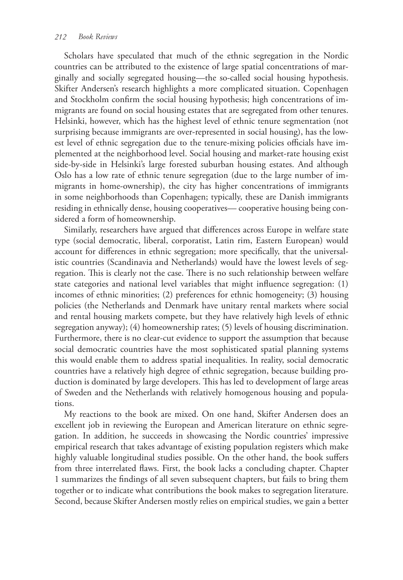Scholars have speculated that much of the ethnic segregation in the Nordic countries can be attributed to the existence of large spatial concentrations of marginally and socially segregated housing—the so-called social housing hypothesis. Skifter Andersen's research highlights a more complicated situation. Copenhagen and Stockholm confirm the social housing hypothesis; high concentrations of immigrants are found on social housing estates that are segregated from other tenures. Helsinki, however, which has the highest level of ethnic tenure segmentation (not surprising because immigrants are over-represented in social housing), has the lowest level of ethnic segregation due to the tenure-mixing policies officials have implemented at the neighborhood level. Social housing and market-rate housing exist side-by-side in Helsinki's large forested suburban housing estates. And although Oslo has a low rate of ethnic tenure segregation (due to the large number of immigrants in home-ownership), the city has higher concentrations of immigrants in some neighborhoods than Copenhagen; typically, these are Danish immigrants residing in ethnically dense, housing cooperatives— cooperative housing being considered a form of homeownership.

Similarly, researchers have argued that differences across Europe in welfare state type (social democratic, liberal, corporatist, Latin rim, Eastern European) would account for differences in ethnic segregation; more specifically, that the universalistic countries (Scandinavia and Netherlands) would have the lowest levels of segregation. This is clearly not the case. There is no such relationship between welfare state categories and national level variables that might influence segregation: (1) incomes of ethnic minorities; (2) preferences for ethnic homogeneity; (3) housing policies (the Netherlands and Denmark have unitary rental markets where social and rental housing markets compete, but they have relatively high levels of ethnic segregation anyway); (4) homeownership rates; (5) levels of housing discrimination. Furthermore, there is no clear-cut evidence to support the assumption that because social democratic countries have the most sophisticated spatial planning systems this would enable them to address spatial inequalities. In reality, social democratic countries have a relatively high degree of ethnic segregation, because building production is dominated by large developers. This has led to development of large areas of Sweden and the Netherlands with relatively homogenous housing and populations.

My reactions to the book are mixed. On one hand, Skifter Andersen does an excellent job in reviewing the European and American literature on ethnic segregation. In addition, he succeeds in showcasing the Nordic countries' impressive empirical research that takes advantage of existing population registers which make highly valuable longitudinal studies possible. On the other hand, the book suffers from three interrelated flaws. First, the book lacks a concluding chapter. Chapter 1 summarizes the findings of all seven subsequent chapters, but fails to bring them together or to indicate what contributions the book makes to segregation literature. Second, because Skifter Andersen mostly relies on empirical studies, we gain a better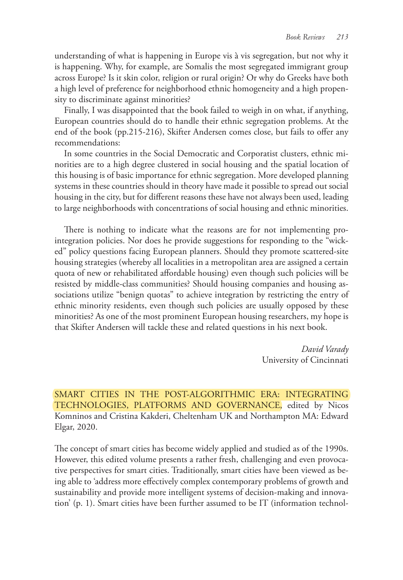understanding of what is happening in Europe vis à vis segregation, but not why it is happening. Why, for example, are Somalis the most segregated immigrant group across Europe? Is it skin color, religion or rural origin? Or why do Greeks have both a high level of preference for neighborhood ethnic homogeneity and a high propensity to discriminate against minorities?

Finally, I was disappointed that the book failed to weigh in on what, if anything, European countries should do to handle their ethnic segregation problems. At the end of the book (pp.215-216), Skifter Andersen comes close, but fails to offer any recommendations:

In some countries in the Social Democratic and Corporatist clusters, ethnic minorities are to a high degree clustered in social housing and the spatial location of this housing is of basic importance for ethnic segregation. More developed planning systems in these countries should in theory have made it possible to spread out social housing in the city, but for different reasons these have not always been used, leading to large neighborhoods with concentrations of social housing and ethnic minorities.

There is nothing to indicate what the reasons are for not implementing prointegration policies. Nor does he provide suggestions for responding to the "wicked" policy questions facing European planners. Should they promote scattered-site housing strategies (whereby all localities in a metropolitan area are assigned a certain quota of new or rehabilitated affordable housing) even though such policies will be resisted by middle-class communities? Should housing companies and housing associations utilize "benign quotas" to achieve integration by restricting the entry of ethnic minority residents, even though such policies are usually opposed by these minorities? As one of the most prominent European housing researchers, my hope is that Skifter Andersen will tackle these and related questions in his next book.

> *David Varady* University of Cincinnati

SMART CITIES IN THE POST-ALGORITHMIC ERA: INTEGRATING TECHNOLOGIES, PLATFORMS AND GOVERNANCE, edited by Nicos Komninos and Cristina Kakderi, Cheltenham UK and Northampton MA: Edward Elgar, 2020.

The concept of smart cities has become widely applied and studied as of the 1990s. However, this edited volume presents a rather fresh, challenging and even provocative perspectives for smart cities. Traditionally, smart cities have been viewed as being able to 'address more effectively complex contemporary problems of growth and sustainability and provide more intelligent systems of decision-making and innovation' (p. 1). Smart cities have been further assumed to be IT (information technol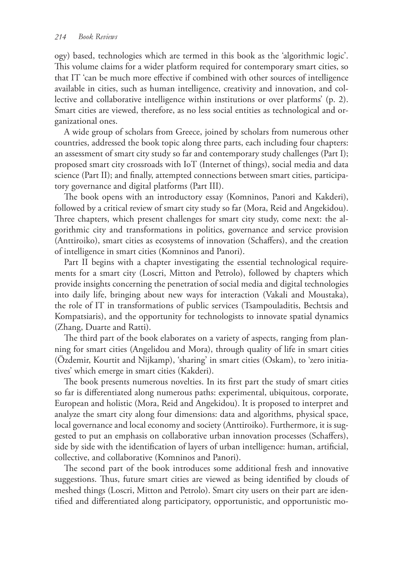ogy) based, technologies which are termed in this book as the 'algorithmic logic'. This volume claims for a wider platform required for contemporary smart cities, so that IT 'can be much more effective if combined with other sources of intelligence available in cities, such as human intelligence, creativity and innovation, and collective and collaborative intelligence within institutions or over platforms' (p. 2). Smart cities are viewed, therefore, as no less social entities as technological and organizational ones.

A wide group of scholars from Greece, joined by scholars from numerous other countries, addressed the book topic along three parts, each including four chapters: an assessment of smart city study so far and contemporary study challenges (Part I); proposed smart city crossroads with IoT (Internet of things), social media and data science (Part II); and finally, attempted connections between smart cities, participatory governance and digital platforms (Part III).

The book opens with an introductory essay (Komninos, Panori and Kakderi), followed by a critical review of smart city study so far (Mora, Reid and Angekidou). Three chapters, which present challenges for smart city study, come next: the algorithmic city and transformations in politics, governance and service provision (Anttiroiko), smart cities as ecosystems of innovation (Schaffers), and the creation of intelligence in smart cities (Komninos and Panori).

Part II begins with a chapter investigating the essential technological requirements for a smart city (Loscri, Mitton and Petrolo), followed by chapters which provide insights concerning the penetration of social media and digital technologies into daily life, bringing about new ways for interaction (Vakali and Moustaka), the role of IT in transformations of public services (Tsampouladitis, Bechtsis and Kompatsiaris), and the opportunity for technologists to innovate spatial dynamics (Zhang, Duarte and Ratti).

The third part of the book elaborates on a variety of aspects, ranging from planning for smart cities (Angelidou and Mora), through quality of life in smart cities (Özdemir, Kourtit and Nijkamp), 'sharing' in smart cities (Oskam), to 'zero initiatives' which emerge in smart cities (Kakderi).

The book presents numerous novelties. In its first part the study of smart cities so far is differentiated along numerous paths: experimental, ubiquitous, corporate, European and holistic (Mora, Reid and Angekidou). It is proposed to interpret and analyze the smart city along four dimensions: data and algorithms, physical space, local governance and local economy and society (Anttiroiko). Furthermore, it is suggested to put an emphasis on collaborative urban innovation processes (Schaffers), side by side with the identification of layers of urban intelligence: human, artificial, collective, and collaborative (Komninos and Panori).

The second part of the book introduces some additional fresh and innovative suggestions. Thus, future smart cities are viewed as being identified by clouds of meshed things (Loscri, Mitton and Petrolo). Smart city users on their part are identified and differentiated along participatory, opportunistic, and opportunistic mo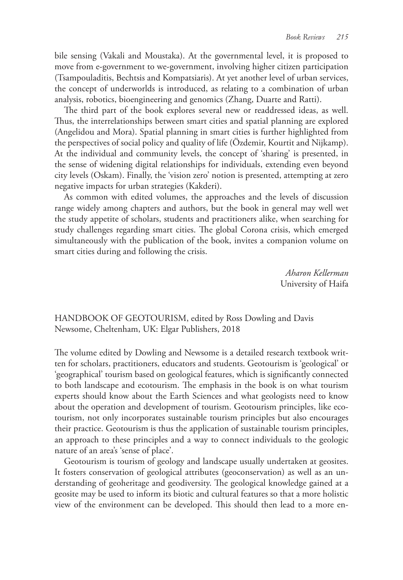bile sensing (Vakali and Moustaka). At the governmental level, it is proposed to move from e-government to we-government, involving higher citizen participation (Tsampouladitis, Bechtsis and Kompatsiaris). At yet another level of urban services, the concept of underworlds is introduced, as relating to a combination of urban analysis, robotics, bioengineering and genomics (Zhang, Duarte and Ratti).

The third part of the book explores several new or readdressed ideas, as well. Thus, the interrelationships between smart cities and spatial planning are explored (Angelidou and Mora). Spatial planning in smart cities is further highlighted from the perspectives of social policy and quality of life (Özdemir, Kourtit and Nijkamp). At the individual and community levels, the concept of 'sharing' is presented, in the sense of widening digital relationships for individuals, extending even beyond city levels (Oskam). Finally, the 'vision zero' notion is presented, attempting at zero negative impacts for urban strategies (Kakderi).

As common with edited volumes, the approaches and the levels of discussion range widely among chapters and authors, but the book in general may well wet the study appetite of scholars, students and practitioners alike, when searching for study challenges regarding smart cities. The global Corona crisis, which emerged simultaneously with the publication of the book, invites a companion volume on smart cities during and following the crisis.

> *Aharon Kellerman*  University of Haifa

HANDBOOK OF GEOTOURISM, edited by Ross Dowling and Davis Newsome, Cheltenham, UK: Elgar Publishers, 2018

The volume edited by Dowling and Newsome is a detailed research textbook written for scholars, practitioners, educators and students. Geotourism is 'geological' or 'geographical' tourism based on geological features, which is significantly connected to both landscape and ecotourism. The emphasis in the book is on what tourism experts should know about the Earth Sciences and what geologists need to know about the operation and development of tourism. Geotourism principles, like ecotourism, not only incorporates sustainable tourism principles but also encourages their practice. Geotourism is thus the application of sustainable tourism principles, an approach to these principles and a way to connect individuals to the geologic nature of an area's 'sense of place'.

Geotourism is tourism of geology and landscape usually undertaken at geosites. It fosters conservation of geological attributes (geoconservation) as well as an understanding of geoheritage and geodiversity. The geological knowledge gained at a geosite may be used to inform its biotic and cultural features so that a more holistic view of the environment can be developed. This should then lead to a more en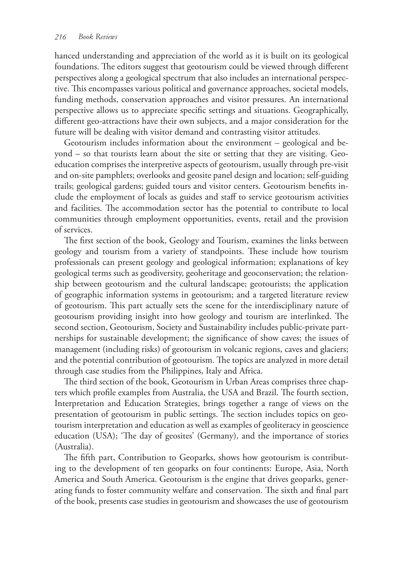hanced understanding and appreciation of the world as it is built on its geological foundations. The editors suggest that geotourism could be viewed through different perspectives along a geological spectrum that also includes an international perspective. This encompasses various political and governance approaches, societal models, funding methods, conservation approaches and visitor pressures. An international perspective allows us to appreciate specific settings and situations. Geographically, different geo-attractions have their own subjects, and a major consideration for the future will be dealing with visitor demand and contrasting visitor attitudes.

Geotourism includes information about the environment – geological and beyond – so that tourists learn about the site or setting that they are visiting. Geoeducation comprises the interpretive aspects of geotourism, usually through pre-visit and on-site pamphlets; overlooks and geosite panel design and location; self-guiding trails; geological gardens; guided tours and visitor centers. Geotourism benefits include the employment of locals as guides and staff to service geotourism activities and facilities. The accommodation sector has the potential to contribute to local communities through employment opportunities, events, retail and the provision of services.

The first section of the book, Geology and Tourism, examines the links between geology and tourism from a variety of standpoints. These include how tourism professionals can present geology and geological information; explanations of key geological terms such as geodiversity, geoheritage and geoconservation; the relationship between geotourism and the cultural landscape; geotourists; the application of geographic information systems in geotourism; and a targeted literature review of geotourism. This part actually sets the scene for the interdisciplinary nature of geotourism providing insight into how geology and tourism are interlinked. The second section, Geotourism, Society and Sustainability includes public-private partnerships for sustainable development; the significance of show caves; the issues of management (including risks) of geotourism in volcanic regions, caves and glaciers; and the potential contribution of geotourism. The topics are analyzed in more detail through case studies from the Philippines, Italy and Africa.

The third section of the book, Geotourism in Urban Areas comprises three chapters which profile examples from Australia, the USA and Brazil. The fourth section, Interpretation and Education Strategies, brings together a range of views on the presentation of geotourism in public settings. The section includes topics on geotourism interpretation and education as well as examples of geoliteracy in geoscience education (USA); 'The day of geosites' (Germany), and the importance of stories (Australia).

The fifth part, Contribution to Geoparks, shows how geotourism is contributing to the development of ten geoparks on four continents: Europe, Asia, North America and South America. Geotourism is the engine that drives geoparks, generating funds to foster community welfare and conservation. The sixth and final part of the book, presents case studies in geotourism and showcases the use of geotourism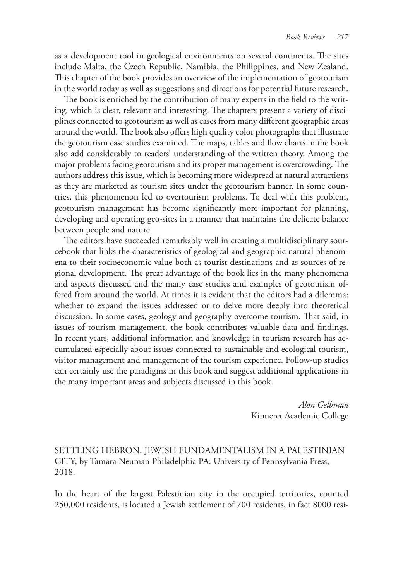as a development tool in geological environments on several continents. The sites include Malta, the Czech Republic, Namibia, the Philippines, and New Zealand. This chapter of the book provides an overview of the implementation of geotourism in the world today as well as suggestions and directions for potential future research.

The book is enriched by the contribution of many experts in the field to the writing, which is clear, relevant and interesting. The chapters present a variety of disciplines connected to geotourism as well as cases from many different geographic areas around the world. The book also offers high quality color photographs that illustrate the geotourism case studies examined. The maps, tables and flow charts in the book also add considerably to readers' understanding of the written theory. Among the major problems facing geotourism and its proper management is overcrowding. The authors address this issue, which is becoming more widespread at natural attractions as they are marketed as tourism sites under the geotourism banner. In some countries, this phenomenon led to overtourism problems. To deal with this problem, geotourism management has become significantly more important for planning, developing and operating geo-sites in a manner that maintains the delicate balance between people and nature.

The editors have succeeded remarkably well in creating a multidisciplinary sourcebook that links the characteristics of geological and geographic natural phenomena to their socioeconomic value both as tourist destinations and as sources of regional development. The great advantage of the book lies in the many phenomena and aspects discussed and the many case studies and examples of geotourism offered from around the world. At times it is evident that the editors had a dilemma: whether to expand the issues addressed or to delve more deeply into theoretical discussion. In some cases, geology and geography overcome tourism. That said, in issues of tourism management, the book contributes valuable data and findings. In recent years, additional information and knowledge in tourism research has accumulated especially about issues connected to sustainable and ecological tourism, visitor management and management of the tourism experience. Follow-up studies can certainly use the paradigms in this book and suggest additional applications in the many important areas and subjects discussed in this book.

> *Alon Gelbman* Kinneret Academic College

# SETTLING HEBRON. JEWISH FUNDAMENTALISM IN A PALESTINIAN CITY, by Tamara Neuman Philadelphia PA: University of Pennsylvania Press, 2018.

In the heart of the largest Palestinian city in the occupied territories, counted 250,000 residents, is located a Jewish settlement of 700 residents, in fact 8000 resi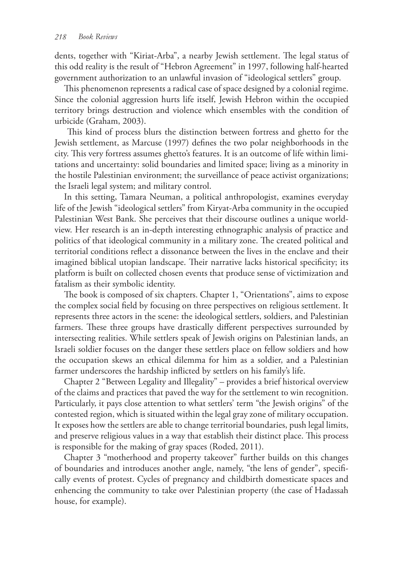dents, together with "Kiriat-Arba", a nearby Jewish settlement. The legal status of this odd reality is the result of "Hebron Agreement" in 1997, following half-hearted government authorization to an unlawful invasion of "ideological settlers" group.

This phenomenon represents a radical case of space designed by a colonial regime. Since the colonial aggression hurts life itself, Jewish Hebron within the occupied territory brings destruction and violence which ensembles with the condition of urbicide (Graham, 2003).

 This kind of process blurs the distinction between fortress and ghetto for the Jewish settlement, as Marcuse (1997) defines the two polar neighborhoods in the city. This very fortress assumes ghetto's features. It is an outcome of life within limitations and uncertainty: solid boundaries and limited space; living as a minority in the hostile Palestinian environment; the surveillance of peace activist organizations; the Israeli legal system; and military control.

In this setting, Tamara Neuman, a political anthropologist, examines everyday life of the Jewish "ideological settlers" from Kiryat-Arba community in the occupied Palestinian West Bank. She perceives that their discourse outlines a unique worldview. Her research is an in-depth interesting ethnographic analysis of practice and politics of that ideological community in a military zone. The created political and territorial conditions reflect a dissonance between the lives in the enclave and their imagined biblical utopian landscape. Their narrative lacks historical specificity; its platform is built on collected chosen events that produce sense of victimization and fatalism as their symbolic identity.

The book is composed of six chapters. Chapter 1, "Orientations", aims to expose the complex social field by focusing on three perspectives on religious settlement. It represents three actors in the scene: the ideological settlers, soldiers, and Palestinian farmers. These three groups have drastically different perspectives surrounded by intersecting realities. While settlers speak of Jewish origins on Palestinian lands, an Israeli soldier focuses on the danger these settlers place on fellow soldiers and how the occupation skews an ethical dilemma for him as a soldier, and a Palestinian farmer underscores the hardship inflicted by settlers on his family's life.

Chapter 2 "Between Legality and Illegality" – provides a brief historical overview of the claims and practices that paved the way for the settlement to win recognition. Particularly, it pays close attention to what settlers' term "the Jewish origins" of the contested region, which is situated within the legal gray zone of military occupation. It exposes how the settlers are able to change territorial boundaries, push legal limits, and preserve religious values in a way that establish their distinct place. This process is responsible for the making of gray spaces (Roded, 2011).

Chapter 3 "motherhood and property takeover" further builds on this changes of boundaries and introduces another angle, namely, "the lens of gender", specifically events of protest. Cycles of pregnancy and childbirth domesticate spaces and enhencing the community to take over Palestinian property (the case of Hadassah house, for example).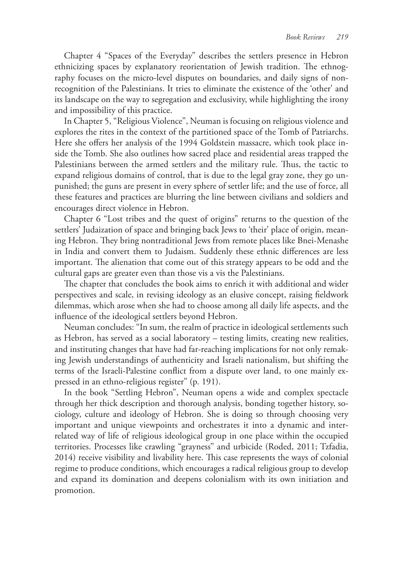Chapter 4 "Spaces of the Everyday" describes the settlers presence in Hebron ethnicizing spaces by explanatory reorientation of Jewish tradition. The ethnography focuses on the micro-level disputes on boundaries, and daily signs of nonrecognition of the Palestinians. It tries to eliminate the existence of the 'other' and its landscape on the way to segregation and exclusivity, while highlighting the irony and impossibility of this practice.

In Chapter 5, "Religious Violence", Neuman is focusing on religious violence and explores the rites in the context of the partitioned space of the Tomb of Patriarchs. Here she offers her analysis of the 1994 Goldstein massacre, which took place inside the Tomb. She also outlines how sacred place and residential areas trapped the Palestinians between the armed settlers and the military rule. Thus, the tactic to expand religious domains of control, that is due to the legal gray zone, they go unpunished; the guns are present in every sphere of settler life; and the use of force, all these features and practices are blurring the line between civilians and soldiers and encourages direct violence in Hebron.

Chapter 6 "Lost tribes and the quest of origins" returns to the question of the settlers' Judaization of space and bringing back Jews to 'their' place of origin, meaning Hebron. They bring nontraditional Jews from remote places like Bnei-Menashe in India and convert them to Judaism. Suddenly these ethnic differences are less important. The alienation that come out of this strategy appears to be odd and the cultural gaps are greater even than those vis a vis the Palestinians.

The chapter that concludes the book aims to enrich it with additional and wider perspectives and scale, in revising ideology as an elusive concept, raising fieldwork dilemmas, which arose when she had to choose among all daily life aspects, and the influence of the ideological settlers beyond Hebron.

Neuman concludes: "In sum, the realm of practice in ideological settlements such as Hebron, has served as a social laboratory – testing limits, creating new realities, and instituting changes that have had far-reaching implications for not only remaking Jewish understandings of authenticity and Israeli nationalism, but shifting the terms of the Israeli-Palestine conflict from a dispute over land, to one mainly expressed in an ethno-religious register" (p. 191).

In the book "Settling Hebron", Neuman opens a wide and complex spectacle through her thick description and thorough analysis, bonding together history, sociology, culture and ideology of Hebron. She is doing so through choosing very important and unique viewpoints and orchestrates it into a dynamic and interrelated way of life of religious ideological group in one place within the occupied territories. Processes like crawling "grayness" and urbicide (Roded, 2011; Tzfadia, 2014) receive visibility and livability here. This case represents the ways of colonial regime to produce conditions, which encourages a radical religious group to develop and expand its domination and deepens colonialism with its own initiation and promotion.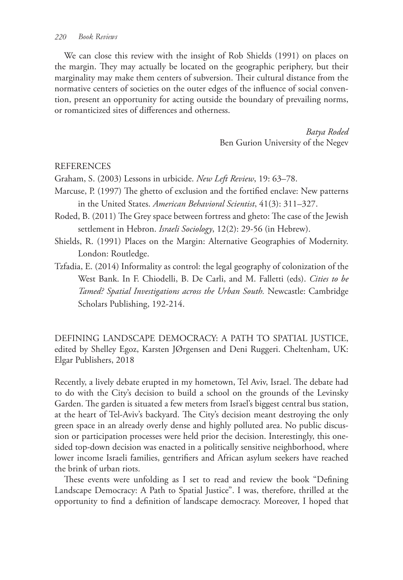We can close this review with the insight of Rob Shields (1991) on places on the margin. They may actually be located on the geographic periphery, but their marginality may make them centers of subversion. Their cultural distance from the normative centers of societies on the outer edges of the influence of social convention, present an opportunity for acting outside the boundary of prevailing norms, or romanticized sites of differences and otherness.

> *Batya Roded* Ben Gurion University of the Negev

### REFERENCES

Graham, S. (2003) Lessons in urbicide. *New Left Review*, 19: 63–78.

- Marcuse, P. (1997) The ghetto of exclusion and the fortified enclave: New patterns in the United States. *American Behavioral Scientist*, 41(3): 311–327.
- Roded, B. (2011) The Grey space between fortress and gheto: The case of the Jewish settlement in Hebron. *Israeli Sociology*, 12(2): 29-56 (in Hebrew).
- Shields, R. (1991) Places on the Margin: Alternative Geographies of Modernity. London: Routledge.
- Tzfadia, E. (2014) Informality as control: the legal geography of colonization of the West Bank. In F. Chiodelli, B. De Carli, and M. Falletti (eds). *Cities to be Tamed? Spatial Investigations across the Urban South.* Newcastle: Cambridge Scholars Publishing, 192-214.

DEFINING LANDSCAPE DEMOCRACY: A PATH TO SPATIAL JUSTICE, edited by Shelley Egoz, Karsten JØrgensen and Deni Ruggeri. Cheltenham, UK: Elgar Publishers, 2018

Recently, a lively debate erupted in my hometown, Tel Aviv, Israel. The debate had to do with the City's decision to build a school on the grounds of the Levinsky Garden. The garden is situated a few meters from Israel's biggest central bus station, at the heart of Tel-Aviv's backyard. The City's decision meant destroying the only green space in an already overly dense and highly polluted area. No public discussion or participation processes were held prior the decision. Interestingly, this onesided top-down decision was enacted in a politically sensitive neighborhood, where lower income Israeli families, gentrifiers and African asylum seekers have reached the brink of urban riots.

These events were unfolding as I set to read and review the book "Defining Landscape Democracy: A Path to Spatial Justice". I was, therefore, thrilled at the opportunity to find a definition of landscape democracy. Moreover, I hoped that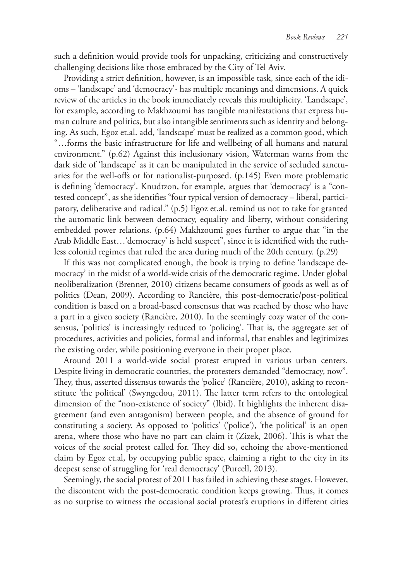such a definition would provide tools for unpacking, criticizing and constructively challenging decisions like those embraced by the City of Tel Aviv.

Providing a strict definition, however, is an impossible task, since each of the idioms – 'landscape' and 'democracy'- has multiple meanings and dimensions. A quick review of the articles in the book immediately reveals this multiplicity. 'Landscape', for example, according to Makhzoumi has tangible manifestations that express human culture and politics, but also intangible sentiments such as identity and belonging. As such, Egoz et.al. add, 'landscape' must be realized as a common good, which "…forms the basic infrastructure for life and wellbeing of all humans and natural environment." (p.62) Against this inclusionary vision, Waterman warns from the dark side of 'landscape' as it can be manipulated in the service of secluded sanctuaries for the well-offs or for nationalist-purposed. (p.145) Even more problematic is defining 'democracy'. Knudtzon, for example, argues that 'democracy' is a "contested concept", as she identifies "four typical version of democracy – liberal, participatory, deliberative and radical." (p.5) Egoz et.al. remind us not to take for granted the automatic link between democracy, equality and liberty, without considering embedded power relations. (p.64) Makhzoumi goes further to argue that "in the Arab Middle East…'democracy' is held suspect", since it is identified with the ruthless colonial regimes that ruled the area during much of the 20th century. (p.29)

If this was not complicated enough, the book is trying to define 'landscape democracy' in the midst of a world-wide crisis of the democratic regime. Under global neoliberalization (Brenner, 2010) citizens became consumers of goods as well as of politics (Dean, 2009). According to Rancière, this post-democratic/post-political condition is based on a broad-based consensus that was reached by those who have a part in a given society (Rancière, 2010). In the seemingly cozy water of the consensus, 'politics' is increasingly reduced to 'policing'. That is, the aggregate set of procedures, activities and policies, formal and informal, that enables and legitimizes the existing order, while positioning everyone in their proper place.

Around 2011 a world-wide social protest erupted in various urban centers. Despite living in democratic countries, the protesters demanded "democracy, now". They, thus, asserted dissensus towards the 'police' (Rancière, 2010), asking to reconstitute 'the political' (Swyngedou, 2011). The latter term refers to the ontological dimension of the "non-existence of society" (Ibid). It highlights the inherent disagreement (and even antagonism) between people, and the absence of ground for constituting a society. As opposed to 'politics' ('police'), 'the political' is an open arena, where those who have no part can claim it (Zizek, 2006). This is what the voices of the social protest called for. They did so, echoing the above-mentioned claim by Egoz et.al, by occupying public space, claiming a right to the city in its deepest sense of struggling for 'real democracy' (Purcell, 2013).

Seemingly, the social protest of 2011 has failed in achieving these stages. However, the discontent with the post-democratic condition keeps growing. Thus, it comes as no surprise to witness the occasional social protest's eruptions in different cities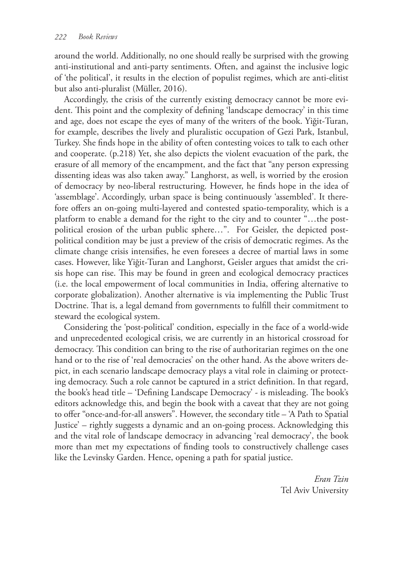around the world. Additionally, no one should really be surprised with the growing anti-institutional and anti-party sentiments. Often, and against the inclusive logic of 'the political', it results in the election of populist regimes, which are anti-elitist but also anti-pluralist (Müller, 2016).

Accordingly, the crisis of the currently existing democracy cannot be more evident. This point and the complexity of defining 'landscape democracy' in this time and age, does not escape the eyes of many of the writers of the book. Yiğit-Turan, for example, describes the lively and pluralistic occupation of Gezi Park, Istanbul, Turkey. She finds hope in the ability of often contesting voices to talk to each other and cooperate. (p.218) Yet, she also depicts the violent evacuation of the park, the erasure of all memory of the encampment, and the fact that "any person expressing dissenting ideas was also taken away." Langhorst, as well, is worried by the erosion of democracy by neo-liberal restructuring. However, he finds hope in the idea of 'assemblage'. Accordingly, urban space is being continuously 'assembled'. It therefore offers an on-going multi-layered and contested spatio-temporality, which is a platform to enable a demand for the right to the city and to counter "…the postpolitical erosion of the urban public sphere…". For Geisler, the depicted postpolitical condition may be just a preview of the crisis of democratic regimes. As the climate change crisis intensifies, he even foresees a decree of martial laws in some cases. However, like Yiğit-Turan and Langhorst, Geisler argues that amidst the crisis hope can rise. This may be found in green and ecological democracy practices (i.e. the local empowerment of local communities in India, offering alternative to corporate globalization). Another alternative is via implementing the Public Trust Doctrine. That is, a legal demand from governments to fulfill their commitment to steward the ecological system.

Considering the 'post-political' condition, especially in the face of a world-wide and unprecedented ecological crisis, we are currently in an historical crossroad for democracy. This condition can bring to the rise of authoritarian regimes on the one hand or to the rise of 'real democracies' on the other hand. As the above writers depict, in each scenario landscape democracy plays a vital role in claiming or protecting democracy. Such a role cannot be captured in a strict definition. In that regard, the book's head title – 'Defining Landscape Democracy' - is misleading. The book's editors acknowledge this, and begin the book with a caveat that they are not going to offer "once-and-for-all answers". However, the secondary title – 'A Path to Spatial Justice' – rightly suggests a dynamic and an on-going process. Acknowledging this and the vital role of landscape democracy in advancing 'real democracy', the book more than met my expectations of finding tools to constructively challenge cases like the Levinsky Garden. Hence, opening a path for spatial justice.

> *Eran Tzin* Tel Aviv University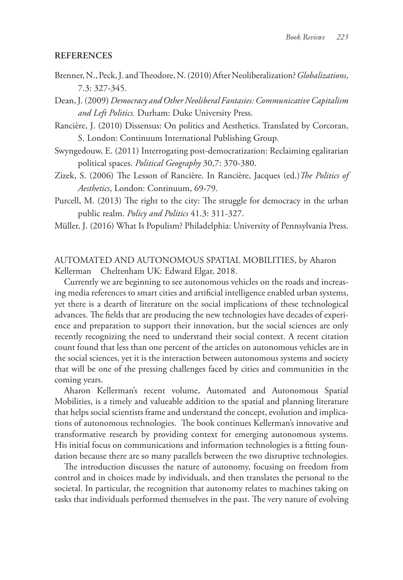#### **REFERENCES**

Brenner, N., Peck, J. and Theodore, N. (2010) After Neoliberalization? *Globalizations*, 7.3: 327-345.

Dean, J. (2009) *Democracy and Other Neoliberal Fantasies: Communicative Capitalism and Left Politics.* Durham: Duke University Press.

Rancière, J. (2010) Dissensus: On politics and Aesthetics. Translated by Corcoran, S. London: Continuum International Publishing Group.

- Swyngedouw, E. (2011) Interrogating post-democratization: Reclaiming egalitarian political spaces. *Political Geography* 30,7: 370-380.
- Zizek, S. (2006) The Lesson of Rancière. In Rancière, Jacques (ed.)*The Politics of Aesthetics*, London: Continuum, 69-79.
- Purcell, M. (2013) The right to the city: The struggle for democracy in the urban public realm. *Policy and Politics* 41.3: 311-327.

Müller, J. (2016) What Is Populism? Philadelphia: University of Pennsylvania Press.

# AUTOMATED AND AUTONOMOUS SPATIAL MOBILITIES, by Aharon Kellerman Cheltenham UK: Edward Elgar, 2018.

Currently we are beginning to see autonomous vehicles on the roads and increasing media references to smart cities and artificial intelligence enabled urban systems, yet there is a dearth of literature on the social implications of these technological advances. The fields that are producing the new technologies have decades of experience and preparation to support their innovation, but the social sciences are only recently recognizing the need to understand their social context. A recent citation count found that less than one percent of the articles on autonomous vehicles are in the social sciences, yet it is the interaction between autonomous systems and society that will be one of the pressing challenges faced by cities and communities in the coming years.

Aharon Kellerman's recent volume, Automated and Autonomous Spatial Mobilities, is a timely and valueable addition to the spatial and planning literature that helps social scientists frame and understand the concept, evolution and implications of autonomous technologies. The book continues Kellerman's innovative and transformative research by providing context for emerging autonomous systems. His initial focus on communications and information technologies is a fitting foundation because there are so many parallels between the two disruptive technologies.

The introduction discusses the nature of autonomy, focusing on freedom from control and in choices made by individuals, and then translates the personal to the societal. In particular, the recognition that autonomy relates to machines taking on tasks that individuals performed themselves in the past. The very nature of evolving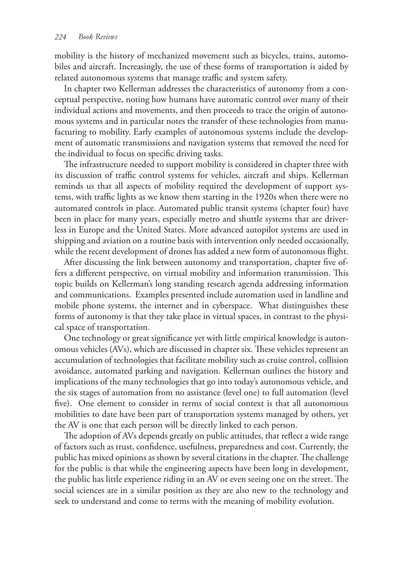mobility is the history of mechanized movement such as bicycles, trains, automobiles and aircraft. Increasingly, the use of these forms of transportation is aided by related autonomous systems that manage traffic and system safety.

In chapter two Kellerman addresses the characteristics of autonomy from a conceptual perspective, noting how humans have automatic control over many of their individual actions and movements, and then proceeds to trace the origin of autonomous systems and in particular notes the transfer of these technologies from manufacturing to mobility. Early examples of autonomous systems include the development of automatic transmissions and navigation systems that removed the need for the individual to focus on specific driving tasks.

The infrastructure needed to support mobility is considered in chapter three with its discussion of traffic control systems for vehicles, aircraft and ships. Kellerman reminds us that all aspects of mobility required the development of support systems, with traffic lights as we know them starting in the 1920s when there were no automated controls in place. Automated public transit systems (chapter four) have been in place for many years, especially metro and shuttle systems that are driverless in Europe and the United States. More advanced autopilot systems are used in shipping and aviation on a routine basis with intervention only needed occasionally, while the recent development of drones has added a new form of autonomous flight.

After discussing the link between autonomy and transportation, chapter five offers a different perspective, on virtual mobility and information transmission. This topic builds on Kellerman's long standing research agenda addressing information and communications. Examples presented include automation used in landline and mobile phone systems, the internet and in cyberspace. What distinguishes these forms of autonomy is that they take place in virtual spaces, in contrast to the physical space of transportation.

One technology or great significance yet with little empirical knowledge is autonomous vehicles (AVs), which are discussed in chapter six. These vehicles represent an accumulation of technologies that facilitate mobility such as cruise control, collision avoidance, automated parking and navigation. Kellerman outlines the history and implications of the many technologies that go into today's autonomous vehicle, and the six stages of automation from no assistance (level one) to full automation (level five). One element to consider in terms of social context is that all autonomous mobilities to date have been part of transportation systems managed by others, yet the AV is one that each person will be directly linked to each person.

The adoption of AVs depends greatly on public attitudes, that reflect a wide range of factors such as trust, confidence, usefulness, preparedness and cost. Currently, the public has mixed opinions as shown by several citations in the chapter. The challenge for the public is that while the engineering aspects have been long in development, the public has little experience riding in an AV or even seeing one on the street. The social sciences are in a similar position as they are also new to the technology and seek to understand and come to terms with the meaning of mobility evolution.